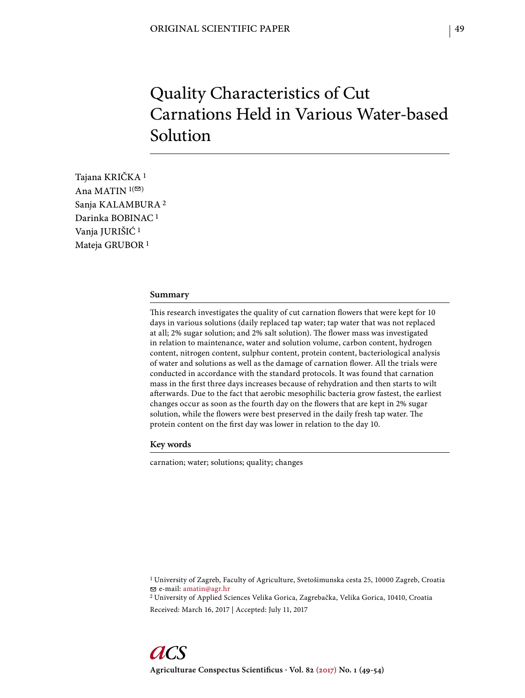# Quality Characteristics of Cut Carnations Held in Various Water-based Solution

Tajana KRIČKA 1 Ana MATIN  $1($ Sanja KALAMBURA 2 Darinka BOBINAC 1 Vanja JURIŠIĆ 1 Mateja GRUBOR 1

## **Summary**

This research investigates the quality of cut carnation flowers that were kept for 10 days in various solutions (daily replaced tap water; tap water that was not replaced at all; 2% sugar solution; and 2% salt solution). The flower mass was investigated in relation to maintenance, water and solution volume, carbon content, hydrogen content, nitrogen content, sulphur content, protein content, bacteriological analysis of water and solutions as well as the damage of carnation flower. All the trials were conducted in accordance with the standard protocols. It was found that carnation mass in the first three days increases because of rehydration and then starts to wilt afterwards. Due to the fact that aerobic mesophilic bacteria grow fastest, the earliest changes occur as soon as the fourth day on the flowers that are kept in 2% sugar solution, while the flowers were best preserved in the daily fresh tap water. The protein content on the first day was lower in relation to the day 10.

## **Key words**

carnation; water; solutions; quality; changes

1 University of Zagreb, Faculty of Agriculture, Svetošimunska cesta 25, 10000 Zagreb, Croatia e-mail: amatin@agr.hr

2 University of Applied Sciences Velika Gorica, Zagrebačka, Velika Gorica, 10410, Croatia Received: March 16, 2017 | Accepted: July 11, 2017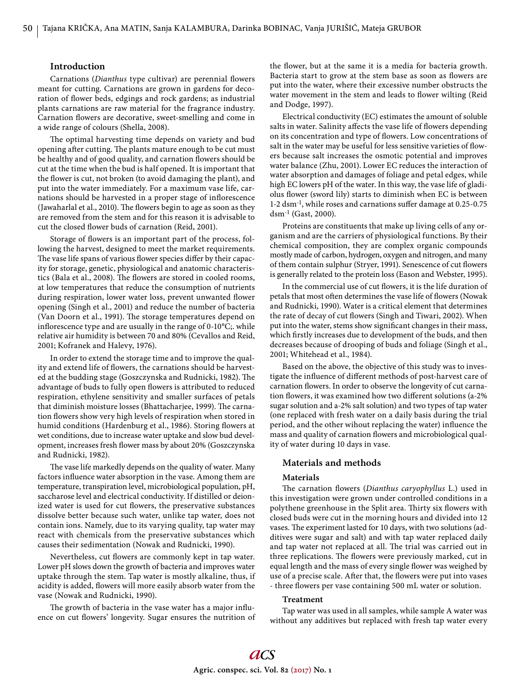## **Introduction**

Carnations (*Dianthus* type cultivar) are perennial flowers meant for cutting. Carnations are grown in gardens for decoration of flower beds, edgings and rock gardens; as industrial plants carnations are raw material for the fragrance industry. Carnation flowers are decorative, sweet-smelling and come in a wide range of colours (Shella, 2008).

The optimal harvesting time depends on variety and bud opening after cutting. The plants mature enough to be cut must be healthy and of good quality, and carnation flowers should be cut at the time when the bud is half opened. It is important that the flower is cut, not broken (to avoid damaging the plant), and put into the water immediately. For a maximum vase life, carnations should be harvested in a proper stage of inflorescence (Jawaharlal et al., 2010). The flowers begin to age as soon as they are removed from the stem and for this reason it is advisable to cut the closed flower buds of carnation (Reid, 2001).

Storage of flowers is an important part of the process, following the harvest, designed to meet the market requirements. The vase life spans of various flower species differ by their capacity for storage, genetic, physiological and anatomic characteristics (Bala et al., 2008). The flowers are stored in cooled rooms, at low temperatures that reduce the consumption of nutrients during respiration, lower water loss, prevent unwanted flower opening (Singh et al., 2001) and reduce the number of bacteria (Van Doorn et al., 1991). The storage temperatures depend on inflorescence type and are usually in the range of 0-10°C;. while relative air humidity is between 70 and 80% (Cevallos and Reid, 2001; Kofranek and Halevy, 1976).

In order to extend the storage time and to improve the quality and extend life of flowers, the carnations should be harvested at the budding stage (Goszczynska and Rudnicki, 1982). The advantage of buds to fully open flowers is attributed to reduced respiration, ethylene sensitivity and smaller surfaces of petals that diminish moisture losses (Bhattacharjee, 1999). The carnation flowers show very high levels of respiration when stored in humid conditions (Hardenburg et al., 1986). Storing flowers at wet conditions, due to increase water uptake and slow bud development, increases fresh flower mass by about 20% (Goszczynska and Rudnicki, 1982).

The vase life markedly depends on the quality of water. Many factors influence water absorption in the vase. Among them are temperature, transpiration level, microbiological population, pH, saccharose level and electrical conductivity. If distilled or deionized water is used for cut flowers, the preservative substances dissolve better because such water, unlike tap water, does not contain ions. Namely, due to its varying quality, tap water may react with chemicals from the preservative substances which causes their sedimentation (Nowak and Rudnicki, 1990).

Nevertheless, cut flowers are commonly kept in tap water. Lower pH slows down the growth of bacteria and improves water uptake through the stem. Tap water is mostly alkaline, thus, if acidity is added, flowers will more easily absorb water from the vase (Nowak and Rudnicki, 1990).

The growth of bacteria in the vase water has a major influence on cut flowers' longevity. Sugar ensures the nutrition of the flower, but at the same it is a media for bacteria growth. Bacteria start to grow at the stem base as soon as flowers are put into the water, where their excessive number obstructs the water movement in the stem and leads to flower wilting (Reid and Dodge, 1997).

Electrical conductivity (EC) estimates the amount of soluble salts in water. Salinity affects the vase life of flowers depending on its concentration and type of flowers. Low concentrations of salt in the water may be useful for less sensitive varieties of flowers because salt increases the osmotic potential and improves water balance (Zhu, 2001). Lower EC reduces the interaction of water absorption and damages of foliage and petal edges, while high EC lowers pH of the water. In this way, the vase life of gladiolus flower (sword lily) starts to diminish when EC is between  $1-2$  dsm<sup>-1</sup>, while roses and carnations suffer damage at 0.25-0.75 dsm-1 (Gast, 2000).

Proteins are constituents that make up living cells of any organism and are the carriers of physiological functions. By their chemical composition, they are complex organic compounds mostly made of carbon, hydrogen, oxygen and nitrogen, and many of them contain sulphur (Stryer, 1991). Senescence of cut flowers is generally related to the protein loss (Eason and Webster, 1995).

In the commercial use of cut flowers, it is the life duration of petals that most often determines the vase life of flowers (Nowak and Rudnicki, 1990). Water is a critical element that determines the rate of decay of cut flowers (Singh and Tiwari, 2002). When put into the water, stems show significant changes in their mass, which firstly increases due to development of the buds, and then decreases because of drooping of buds and foliage (Singh et al., 2001; Whitehead et al., 1984).

Based on the above, the objective of this study was to investigate the influence of different methods of post-harvest care of carnation flowers. In order to observe the longevity of cut carnation flowers, it was examined how two different solutions (a-2%) sugar solution and a-2% salt solution) and two types of tap water (one replaced with fresh water on a daily basis during the trial period, and the other wihout replacing the water) influence the mass and quality of carnation flowers and microbiological quality of water during 10 days in vase.

## **Materials and methods**

#### **Materials**

The carnation flowers (*Dianthus caryophyllus* L.) used in this investigation were grown under controlled conditions in a polythene greenhouse in the Split area. Thirty six flowers with closed buds were cut in the morning hours and divided into 12 vases. The experiment lasted for 10 days, with two solutions (additives were sugar and salt) and with tap water replaced daily and tap water not replaced at all. The trial was carried out in three replications. The flowers were previously marked, cut in equal length and the mass of every single flower was weighed by use of a precise scale. After that, the flowers were put into vases - three flowers per vase containing 500 mL water or solution.

#### **Treatment**

Tap water was used in all samples, while sample A water was without any additives but replaced with fresh tap water every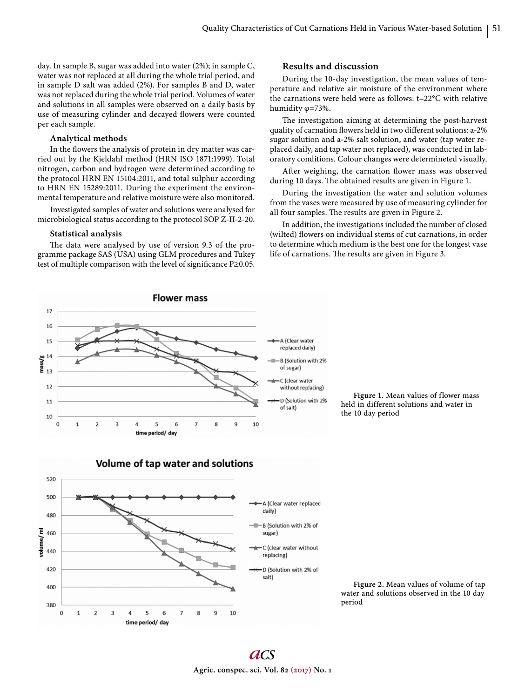day. In sample B, sugar was added into water (2%); in sample C, water was not replaced at all during the whole trial period, and in sample D salt was added (2%). For samples B and D, water was not replaced during the whole trial period. Volumes of water and solutions in all samples were observed on a daily basis by use of measuring cylinder and decayed flowers were counted per each sample.

# **Analytical methods**

In the flowers the analysis of protein in dry matter was carried out by the Kjeldahl method (HRN ISO 1871:1999). Total nitrogen, carbon and hydrogen were determined according to the protocol HRN EN 15104:2011, and total sulphur according to HRN EN 15289:2011. During the experiment the environmental temperature and relative moisture were also monitored.

Investigated samples of water and solutions were analysed for microbiological status according to the protocol SOP Z-II-2-20.

#### **Statistical analysis**

The data were analysed by use of version 9.3 of the programme package SAS (USA) using GLM procedures and Tukey test of multiple comparison with the level of significance  $P \ge 0.05$ .

## **Results and discussion**

During the 10-day investigation, the mean values of temperature and relative air moisture of the environment where the carnations were held were as follows: t=22°C with relative humidity φ=73%.

The investigation aiming at determining the post-harvest quality of carnation flowers held in two different solutions: a-2% sugar solution and a-2% salt solution, and water (tap water replaced daily, and tap water not replaced), was conducted in laboratory conditions. Colour changes were determineted visually.

After weighing, the carnation flower mass was observed during 10 days. The obtained results are given in Figure 1.

During the investigation the water and solution volumes from the vases were measured by use of measuring cylinder for all four samples. The results are given in Figure 2.

In addition, the investigations included the number of closed (wilted) flowers on individual stems of cut carnations, in order to determine which medium is the best one for the longest vase life of carnations. The results are given in Figure 3.



**Figure 1.** Mean values of flower mass held in different solutions and water in the 10 day period



**Figure 2.** Mean values of volume of tap water and solutions observed in the 10 day period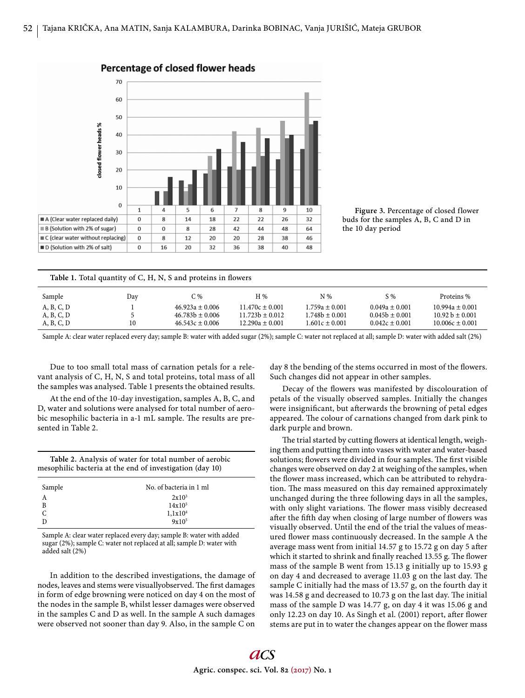

**Figure 3.** Percentage of closed flower buds for the samples A, B, C and D in the 10 day period

| Table 1. Total quantity of C, H, N, S and proteins in flowers |     |                     |                     |                    |                    |                     |  |  |
|---------------------------------------------------------------|-----|---------------------|---------------------|--------------------|--------------------|---------------------|--|--|
| Sample                                                        | Day | C %                 | H %                 | $N\%$              | S %                | Proteins %          |  |  |
| A, B, C, D                                                    |     | $46.923a \pm 0.006$ | $11.470c \pm 0.001$ | $1.759a \pm 0.001$ | $0.049a \pm 0.001$ | $10.994a \pm 0.001$ |  |  |
| A, B, C, D                                                    |     | $46.783b \pm 0.006$ | $11.723b \pm 0.012$ | $1.748b \pm 0.001$ | $0.045b \pm 0.001$ | $10.92 b \pm 0.001$ |  |  |
| A, B, C, D                                                    | 10  | $46.543c \pm 0.006$ | $12.290a \pm 0.001$ | $1.601c \pm 0.001$ | $0.042c \pm 0.001$ | $10.006c \pm 0.001$ |  |  |

Sample A: clear water replaced every day; sample B: water with added sugar (2%); sample C: water not replaced at all; sample D: water with added salt (2%)

Due to too small total mass of carnation petals for a relevant analysis of C, H, N, S and total proteins, total mass of all the samples was analysed. Table 1 presents the obtained results.

At the end of the 10-day investigation, samples A, B, C, and D, water and solutions were analysed for total number of aerobic mesophilic bacteria in a-1 mL sample. The results are presented in Table 2.

**Table 2.** Analysis of water for total number of aerobic mesophilic bacteria at the end of investigation (day 10)

| Sample    | No. of bacteria in 1 ml |  |  |  |
|-----------|-------------------------|--|--|--|
| A         | $2x10^3$                |  |  |  |
| B         | $14x10^5$               |  |  |  |
| $\bar{c}$ | 1,1x10 <sup>4</sup>     |  |  |  |
|           | $9x10^5$                |  |  |  |

Sample A: clear water replaced every day; sample B: water with added sugar (2%); sample C: water not replaced at all; sample D: water with added salt (2%)

In addition to the described investigations, the damage of nodes, leaves and stems were visuallyobserved. The first damages in form of edge browning were noticed on day 4 on the most of the nodes in the sample B, whilst lesser damages were observed in the samples C and D as well. In the sample A such damages were observed not sooner than day 9. Also, in the sample C on day 8 the bending of the stems occurred in most of the flowers. Such changes did not appear in other samples.

Decay of the flowers was manifested by discolouration of petals of the visually observed samples. Initially the changes were insignificant, but afterwards the browning of petal edges appeared. The colour of carnations changed from dark pink to dark purple and brown.

The trial started by cutting flowers at identical length, weighing them and putting them into vases with water and water-based solutions; flowers were divided in four samples. The first visible changes were observed on day 2 at weighing of the samples, when the flower mass increased, which can be attributed to rehydration. The mass measured on this day remained approximately unchanged during the three following days in all the samples, with only slight variations. The flower mass visibly decreased after the fifth day when closing of large number of flowers was visually observed. Until the end of the trial the values of measured flower mass continuously decreased. In the sample A the average mass went from initial 14.57 g to 15.72 g on day 5 after which it started to shrink and finally reached 13.55 g. The flower mass of the sample B went from 15.13 g initially up to 15.93 g on day 4 and decreased to average 11.03 g on the last day. The sample C initially had the mass of 13.57 g, on the fourth day it was 14.58 g and decreased to 10.73 g on the last day. The initial mass of the sample D was 14.77 g, on day 4 it was 15.06 g and only 12.23 on day 10. As Singh et al. (2001) report, after flower stems are put in to water the changes appear on the flower mass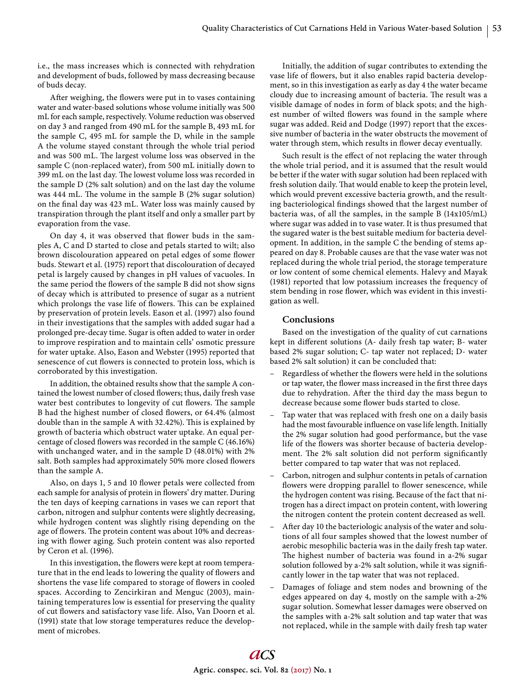i.e., the mass increases which is connected with rehydration and development of buds, followed by mass decreasing because of buds decay.

After weighing, the flowers were put in to vases containing water and water-based solutions whose volume initially was 500 mL for each sample, respectively. Volume reduction was observed on day 3 and ranged from 490 mL for the sample B, 493 mL for the sample C, 495 mL for sample the D, while in the sample A the volume stayed constant through the whole trial period and was 500 mL. The largest volume loss was observed in the sample C (non-replaced water), from 500 mL initially down to 399 mL on the last day. The lowest volume loss was recorded in the sample D (2% salt solution) and on the last day the volume was  $444$  mL. The volume in the sample B (2% sugar solution) on the final day was 423 mL. Water loss was mainly caused by transpiration through the plant itself and only a smaller part by evaporation from the vase.

On day 4, it was observed that flower buds in the samples A, C and D started to close and petals started to wilt; also brown discolouration appeared on petal edges of some flower buds. Stewart et al. (1975) report that discolouration of decayed petal is largely caused by changes in pH values of vacuoles. In the same period the flowers of the sample B did not show signs of decay which is attributed to presence of sugar as a nutrient which prolongs the vase life of flowers. This can be explained by preservation of protein levels. Eason et al. (1997) also found in their investigations that the samples with added sugar had a prolonged pre-decay time. Sugar is often added to water in order to improve respiration and to maintain cells' osmotic pressure for water uptake. Also, Eason and Webster (1995) reported that senescence of cut flowers is connected to protein loss, which is corroborated by this investigation.

In addition, the obtained results show that the sample A contained the lowest number of closed flowers; thus, daily fresh vase water best contributes to longevity of cut flowers. The sample B had the highest number of closed flowers, or 64.4% (almost double than in the sample A with 32.42%). This is explained by growth of bacteria which obstruct water uptake. An equal percentage of closed flowers was recorded in the sample C (46.16%) with unchanged water, and in the sample D (48.01%) with 2% salt. Both samples had approximately 50% more closed flowers than the sample A.

Also, on days 1, 5 and 10 flower petals were collected from each sample for analysis of protein in flowers' dry matter. During the ten days of keeping carnations in vases we can report that carbon, nitrogen and sulphur contents were slightly decreasing, while hydrogen content was slightly rising depending on the age of flowers. The protein content was about 10% and decreasing with flower aging. Such protein content was also reported by Ceron et al. (1996).

In this investigation, the flowers were kept at room temperature that in the end leads to lowering the quality of flowers and shortens the vase life compared to storage of flowers in cooled spaces. According to Zencirkiran and Menguc (2003), maintaining temperatures low is essential for preserving the quality of cut flowers and satisfactory vase life. Also, Van Doorn et al. (1991) state that low storage temperatures reduce the development of microbes.

Initially, the addition of sugar contributes to extending the vase life of flowers, but it also enables rapid bacteria development, so in this investigation as early as day 4 the water became cloudy due to increasing amount of bacteria. The result was a visible damage of nodes in form of black spots; and the highest number of wilted flowers was found in the sample where sugar was added. Reid and Dodge (1997) report that the excessive number of bacteria in the water obstructs the movement of water through stem, which results in flower decay eventually.

Such result is the effect of not replacing the water through the whole trial period, and it is assumed that the result would be better if the water with sugar solution had been replaced with fresh solution daily. That would enable to keep the protein level, which would prevent excessive bacteria growth, and the resulting bacteriological findings showed that the largest number of bacteria was, of all the samples, in the sample B (14x105/mL) where sugar was added in to vase water. It is thus presumed that the sugared water is the best suitable medium for bacteria development. In addition, in the sample C the bending of stems appeared on day 8. Probable causes are that the vase water was not replaced during the whole trial period, the storage temperature or low content of some chemical elements. Halevy and Mayak (1981) reported that low potassium increases the frequency of stem bending in rose flower, which was evident in this investigation as well.

# **Conclusions**

Based on the investigation of the quality of cut carnations kept in different solutions (A- daily fresh tap water; B- water based 2% sugar solution; C- tap water not replaced; D- water based 2% salt solution) it can be concluded that:

- Regardless of whether the flowers were held in the solutions or tap water, the flower mass increased in the first three days due to rehydration. After the third day the mass begun to decrease because some flower buds started to close.
- Tap water that was replaced with fresh one on a daily basis had the most favourable influence on vase life length. Initially the 2% sugar solution had good performance, but the vase life of the flowers was shorter because of bacteria development. The 2% salt solution did not perform significantly better compared to tap water that was not replaced.
- Carbon, nitrogen and sulphur contents in petals of carnation flowers were dropping parallel to flower senescence, while the hydrogen content was rising. Because of the fact that nitrogen has a direct impact on protein content, with lowering the nitrogen content the protein content decreased as well.
- After day 10 the bacteriologic analysis of the water and solutions of all four samples showed that the lowest number of aerobic mesophilic bacteria was in the daily fresh tap water. The highest number of bacteria was found in a-2% sugar solution followed by a-2% salt solution, while it was significantly lower in the tap water that was not replaced.
- Damages of foliage and stem nodes and browning of the edges appeared on day 4, mostly on the sample with a-2% sugar solution. Somewhat lesser damages were observed on the samples with a-2% salt solution and tap water that was not replaced, while in the sample with daily fresh tap water